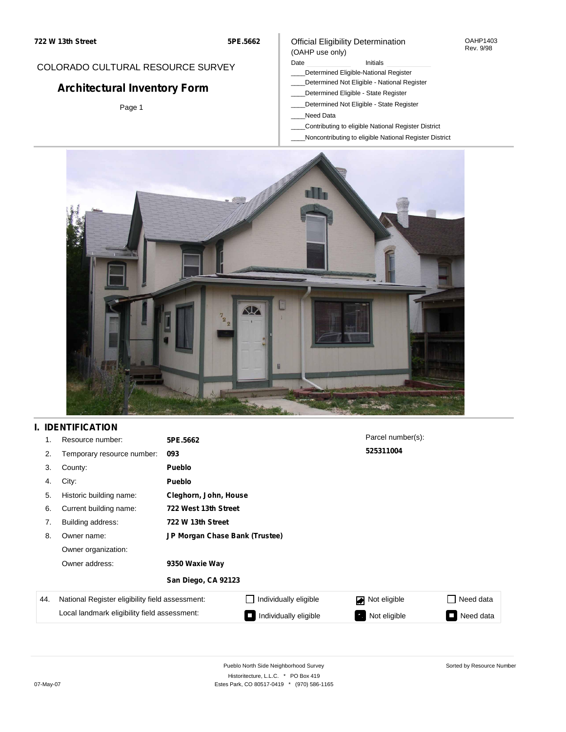#### OAHP1403 Rev. 9/98

## COLORADO CULTURAL RESOURCE SURVEY

# **Architectural Inventory Form**

Page 1

#### (OAHP use only) Date **Initials** Initials

Official Eligibility Determination

- \_\_\_\_Determined Eligible-National Register
- \_\_\_\_Determined Not Eligible National Register
- \_\_\_\_Determined Eligible State Register
- \_\_\_\_Determined Not Eligible State Register
- \_\_\_\_Need Data
- \_\_\_\_Contributing to eligible National Register District
- \_\_\_\_Noncontributing to eligible National Register District



## **I. IDENTIFICATION**

| 1.  | Resource number:                                | 5PE.5662                       |                       | Parcel number(s): |           |
|-----|-------------------------------------------------|--------------------------------|-----------------------|-------------------|-----------|
| 2.  | Temporary resource number:                      | 093                            |                       | 525311004         |           |
| 3.  | County:                                         | <b>Pueblo</b>                  |                       |                   |           |
| 4.  | City:                                           | <b>Pueblo</b>                  |                       |                   |           |
| 5.  | Historic building name:                         | Cleghorn, John, House          |                       |                   |           |
| 6.  | Current building name:                          | 722 West 13th Street           |                       |                   |           |
| 7.  | Building address:                               | 722 W 13th Street              |                       |                   |           |
| 8.  | Owner name:                                     | JP Morgan Chase Bank (Trustee) |                       |                   |           |
|     | Owner organization:                             |                                |                       |                   |           |
|     | Owner address:                                  | 9350 Waxie Way                 |                       |                   |           |
|     |                                                 | San Diego, CA 92123            |                       |                   |           |
| 44. | National Register eligibility field assessment: |                                | Individually eligible | Not eligible      | Need data |
|     | Local landmark eligibility field assessment:    |                                | Individually eligible | Not eligible      | Need data |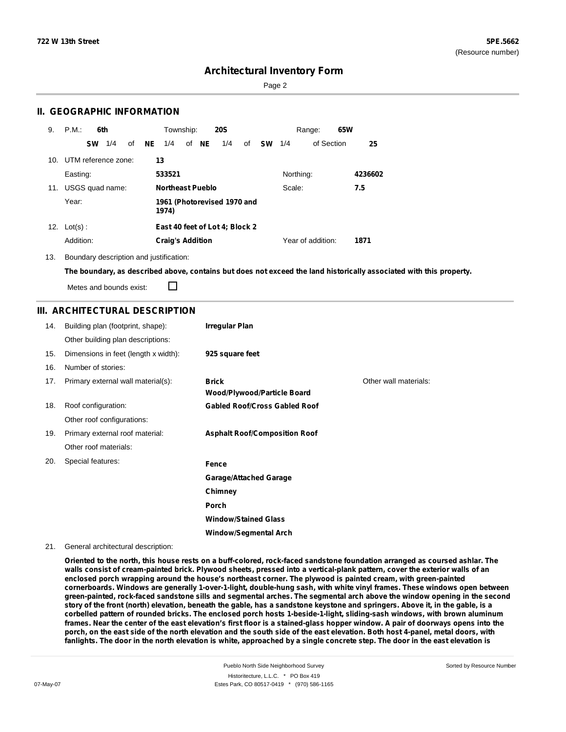Page 2

### **II. GEOGRAPHIC INFORMATION**

| 9.              | P.M.<br>6th            | Township:<br><b>20S</b>                               | 65W<br>Range:             |
|-----------------|------------------------|-------------------------------------------------------|---------------------------|
|                 | 1/4<br>of<br><b>SW</b> | NE .<br>of NE<br>1/4<br>1/4<br><b>SW</b><br>of<br>1/4 | of Section<br>25          |
| 10 <sub>1</sub> | UTM reference zone:    | 13                                                    |                           |
|                 | Easting:               | 533521                                                | Northing:<br>4236602      |
| 11.             | USGS quad name:        | <b>Northeast Pueblo</b>                               | Scale:<br>7.5             |
|                 | Year:                  | 1961 (Photorevised 1970 and<br>1974)                  |                           |
| 12.             | $Lot(s)$ :             | East 40 feet of Lot 4; Block 2                        |                           |
|                 | Addition:              | <b>Craig's Addition</b>                               | Year of addition:<br>1871 |

13. Boundary description and justification:

The boundary, as described above, contains but does not exceed the land historically associated with this property.

Metes and bounds exist:

П

## **III. ARCHITECTURAL DESCRIPTION**

| 14. | Building plan (footprint, shape):    | <b>Irregular Plan</b>                              |                       |
|-----|--------------------------------------|----------------------------------------------------|-----------------------|
|     | Other building plan descriptions:    |                                                    |                       |
| 15. | Dimensions in feet (length x width): | 925 square feet                                    |                       |
| 16. | Number of stories:                   |                                                    |                       |
| 17. | Primary external wall material(s):   | <b>Brick</b><br><b>Wood/Plywood/Particle Board</b> | Other wall materials: |
| 18. | Roof configuration:                  | <b>Gabled Roof/Cross Gabled Roof</b>               |                       |
|     | Other roof configurations:           |                                                    |                       |
| 19. | Primary external roof material:      | <b>Asphalt Roof/Composition Roof</b>               |                       |
|     | Other roof materials:                |                                                    |                       |
| 20. | Special features:                    | Fence                                              |                       |
|     |                                      | <b>Garage/Attached Garage</b>                      |                       |
|     |                                      | Chimney                                            |                       |
|     |                                      | <b>Porch</b>                                       |                       |
|     |                                      | <b>Window/Stained Glass</b>                        |                       |
|     |                                      | <b>Window/Segmental Arch</b>                       |                       |

21. General architectural description:

Oriented to the north, this house rests on a buff-colored, rock-faced sandstone foundation arranged as coursed ashlar. The walls consist of cream-painted brick. Plywood sheets, pressed into a vertical-plank pattern, cover the exterior walls of an **enclosed porch wrapping around the house's northeast corner. The plywood is painted cream, with green-painted** cornerboards. Windows are generally 1-over-1-light, double-hung sash, with white vinyl frames. These windows open between green-painted, rock-faced sandstone sills and segmental arches. The segmental arch above the window opening in the second story of the front (north) elevation, beneath the gable, has a sandstone keystone and springers. Above it, in the gable, is a corbelled pattern of rounded bricks. The enclosed porch hosts 1-beside-1-light, sliding-sash windows, with brown aluminum frames. Near the center of the east elevation's first floor is a stained-glass hopper window. A pair of doorways opens into the porch, on the east side of the north elevation and the south side of the east elevation. Both host 4-panel, metal doors, with fanlights. The door in the north elevation is white, approached by a single concrete step. The door in the east elevation is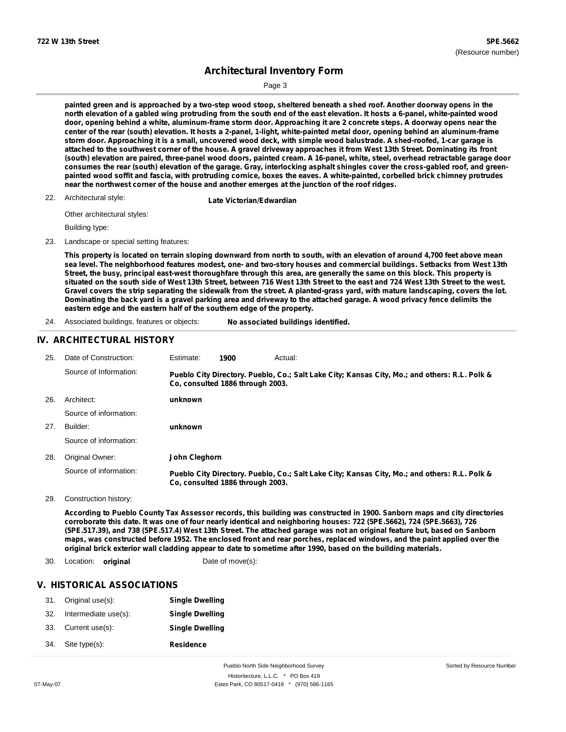Page 3

painted green and is approached by a two-step wood stoop, sheltered beneath a shed roof. Another doorway opens in the north elevation of a gabled wing protruding from the south end of the east elevation. It hosts a 6-panel, white-painted wood door, opening behind a white, aluminum-frame storm door. Approaching it are 2 concrete steps. A doorway opens near the center of the rear (south) elevation. It hosts a 2-panel, 1-light, white-painted metal door, opening behind an aluminum-frame storm door. Approaching it is a small, uncovered wood deck, with simple wood balustrade. A shed-roofed, 1-car garage is attached to the southwest corner of the house. A gravel driveway approaches it from West 13th Street. Dominating its front (south) elevation are paired, three-panel wood doors, painted cream. A 16-panel, white, steel, overhead retractable garage door consumes the rear (south) elevation of the garage. Gray, interlocking asphalt shingles cover the cross-gabled roof, and greenpainted wood soffit and fascia, with protruding cornice, boxes the eaves. A white-painted, corbelled brick chimney protrudes **near the northwest corner of the house and another emerges at the junction of the roof ridges.**

22. Architectural style:

**Late Victorian/Edwardian** 

Other architectural styles:

Building type:

23. Landscape or special setting features:

This property is located on terrain sloping downward from north to south, with an elevation of around 4,700 feet above mean sea level. The neighborhood features modest, one- and two-story houses and commercial buildings. Setbacks from West 13th Street, the busy, principal east-west thoroughfare through this area, are generally the same on this block. This property is situated on the south side of West 13th Street, between 716 West 13th Street to the east and 724 West 13th Street to the west. Gravel covers the strip separating the sidewalk from the street. A planted-grass yard, with mature landscaping, covers the lot. Dominating the back yard is a gravel parking area and driveway to the attached garage. A wood privacy fence delimits the **eastern edge and the eastern half of the southern edge of the property.**

24. Associated buildings, features or objects: **No associated buildings identified.**

#### **IV. ARCHITECTURAL HISTORY**

| 25. | Date of Construction:  | Estimate:     | 1900                             | Actual:                                                                                       |
|-----|------------------------|---------------|----------------------------------|-----------------------------------------------------------------------------------------------|
|     | Source of Information: |               | Co, consulted 1886 through 2003. | Pueblo City Directory. Pueblo, Co.; Salt Lake City; Kansas City, Mo.; and others: R.L. Polk & |
| 26. | Architect:             | unknown       |                                  |                                                                                               |
|     | Source of information: |               |                                  |                                                                                               |
| 27. | Builder:               | unknown       |                                  |                                                                                               |
|     | Source of information: |               |                                  |                                                                                               |
| 28. | Original Owner:        | John Cleghorn |                                  |                                                                                               |
|     | Source of information: |               | Co. consulted 1886 through 2003. | Pueblo City Directory. Pueblo, Co.; Salt Lake City; Kansas City, Mo.; and others: R.L. Polk & |

29. Construction history:

According to Pueblo County Tax Assessor records, this building was constructed in 1900. Sanborn maps and city directories corroborate this date. It was one of four nearly identical and neighboring houses: 722 (5PE.5662), 724 (5PE.5663), 726 (5PE.517.39), and 738 (5PE.517.4) West 13th Street. The attached garage was not an original feature but, based on Sanborn maps, was constructed before 1952. The enclosed front and rear porches, replaced windows, and the paint applied over the original brick exterior wall cladding appear to date to sometime after 1990, based on the building materials.

30. Location: **original** Date of move(s):

#### **V. HISTORICAL ASSOCIATIONS**

| 31. | Original use(s):     | <b>Single Dwelling</b> |
|-----|----------------------|------------------------|
| 32. | Intermediate use(s): | <b>Single Dwelling</b> |
| 33. | Current use(s):      | <b>Single Dwelling</b> |
| 34. | Site type(s):        | <b>Residence</b>       |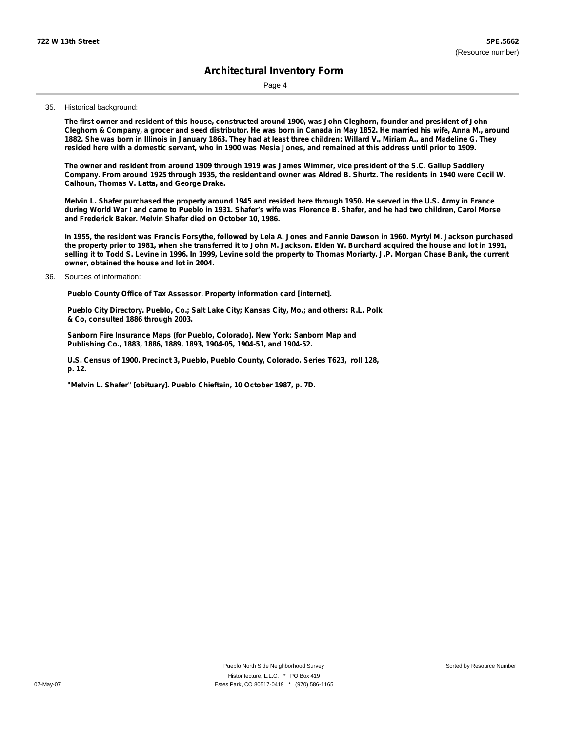Page 4

#### 35. Historical background:

The first owner and resident of this house, constructed around 1900, was John Cleghorn, founder and president of John Cleghorn & Company, a grocer and seed distributor. He was born in Canada in May 1852. He married his wife, Anna M., around 1882. She was born in Illinois in January 1863. They had at least three children: Willard V., Miriam A., and Madeline G. They resided here with a domestic servant, who in 1900 was Mesia Jones, and remained at this address until prior to 1909.

The owner and resident from around 1909 through 1919 was James Wimmer, vice president of the S.C. Gallup Saddlery Company. From around 1925 through 1935, the resident and owner was Aldred B. Shurtz. The residents in 1940 were Cecil W. **Calhoun, Thomas V. Latta, and George Drake.**

Melvin L. Shafer purchased the property around 1945 and resided here through 1950. He served in the U.S. Army in France during World War I and came to Pueblo in 1931. Shafer's wife was Florence B. Shafer, and he had two children, Carol Morse **and Frederick Baker. Melvin Shafer died on October 10, 1986.**

In 1955, the resident was Francis Forsythe, followed by Lela A. Jones and Fannie Dawson in 1960. Myrtyl M. Jackson purchased the property prior to 1981, when she transferred it to John M. Jackson. Elden W. Burchard acquired the house and lot in 1991, selling it to Todd S. Levine in 1996. In 1999, Levine sold the property to Thomas Moriarty. J.P. Morgan Chase Bank, the current **owner, obtained the house and lot in 2004.**

#### Sources of information: 36.

**Pueblo County Office of Tax Assessor. Property information card [internet].**

**Pueblo City Directory. Pueblo, Co.; Salt Lake City; Kansas City, Mo.; and others: R.L. Polk & Co, consulted 1886 through 2003.**

**Sanborn Fire Insurance Maps (for Pueblo, Colorado). New York: Sanborn Map and Publishing Co., 1883, 1886, 1889, 1893, 1904-05, 1904-51, and 1904-52.**

**U.S. Census of 1900. Precinct 3, Pueblo, Pueblo County, Colorado. Series T623, roll 128, p. 12.**

**"Melvin L. Shafer" [obituary]. Pueblo Chieftain, 10 October 1987, p. 7D.**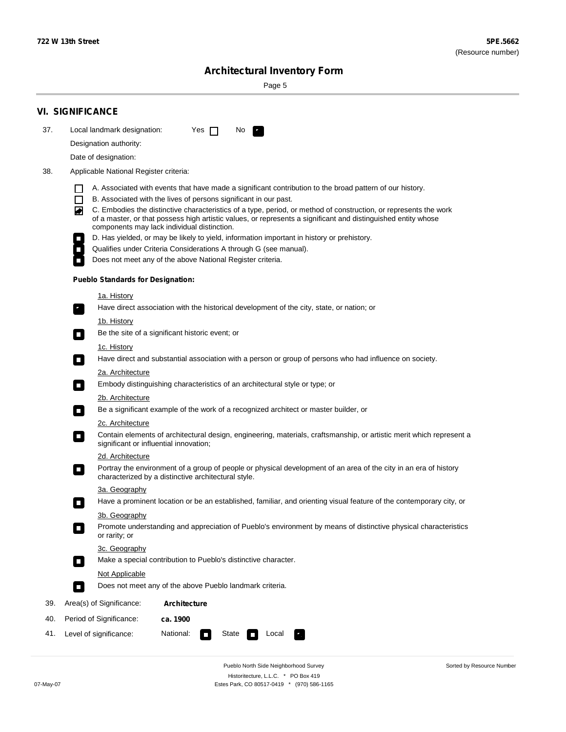۰

Sorted by Resource Number

# **Architectural Inventory Form**

Page 5

|     | <b>VI. SIGNIFICANCE</b>                                                                                                                                                                                                                                                                                                                                                                                                                                                               |  |  |  |  |
|-----|---------------------------------------------------------------------------------------------------------------------------------------------------------------------------------------------------------------------------------------------------------------------------------------------------------------------------------------------------------------------------------------------------------------------------------------------------------------------------------------|--|--|--|--|
| 37. | Local landmark designation:<br>Yes $\Box$<br>No.                                                                                                                                                                                                                                                                                                                                                                                                                                      |  |  |  |  |
|     | Designation authority:                                                                                                                                                                                                                                                                                                                                                                                                                                                                |  |  |  |  |
|     | Date of designation:                                                                                                                                                                                                                                                                                                                                                                                                                                                                  |  |  |  |  |
| 38. | Applicable National Register criteria:                                                                                                                                                                                                                                                                                                                                                                                                                                                |  |  |  |  |
|     | A. Associated with events that have made a significant contribution to the broad pattern of our history.<br>l.<br>B. Associated with the lives of persons significant in our past.<br>$\Box$<br>C. Embodies the distinctive characteristics of a type, period, or method of construction, or represents the work<br>◙<br>of a master, or that possess high artistic values, or represents a significant and distinguished entity whose<br>components may lack individual distinction. |  |  |  |  |
|     | D. Has yielded, or may be likely to yield, information important in history or prehistory.<br>Qualifies under Criteria Considerations A through G (see manual).                                                                                                                                                                                                                                                                                                                       |  |  |  |  |
|     | Does not meet any of the above National Register criteria.                                                                                                                                                                                                                                                                                                                                                                                                                            |  |  |  |  |
|     | <b>Pueblo Standards for Designation:</b>                                                                                                                                                                                                                                                                                                                                                                                                                                              |  |  |  |  |
|     | 1a. History                                                                                                                                                                                                                                                                                                                                                                                                                                                                           |  |  |  |  |
|     | Have direct association with the historical development of the city, state, or nation; or                                                                                                                                                                                                                                                                                                                                                                                             |  |  |  |  |
|     | <u>1b. History</u><br>Be the site of a significant historic event; or<br>$\mathcal{L}_{\mathcal{A}}$                                                                                                                                                                                                                                                                                                                                                                                  |  |  |  |  |
|     | 1c. History<br>Have direct and substantial association with a person or group of persons who had influence on society.<br>$\blacksquare$                                                                                                                                                                                                                                                                                                                                              |  |  |  |  |
|     | 2a. Architecture<br>Embody distinguishing characteristics of an architectural style or type; or<br>$\overline{\phantom{a}}$                                                                                                                                                                                                                                                                                                                                                           |  |  |  |  |
|     | 2b. Architecture                                                                                                                                                                                                                                                                                                                                                                                                                                                                      |  |  |  |  |
|     | Be a significant example of the work of a recognized architect or master builder, or<br>$\sim$                                                                                                                                                                                                                                                                                                                                                                                        |  |  |  |  |
|     | 2c. Architecture<br>Contain elements of architectural design, engineering, materials, craftsmanship, or artistic merit which represent a<br>О<br>significant or influential innovation;                                                                                                                                                                                                                                                                                               |  |  |  |  |
|     | 2d. Architecture                                                                                                                                                                                                                                                                                                                                                                                                                                                                      |  |  |  |  |
|     | Portray the environment of a group of people or physical development of an area of the city in an era of history<br>$\Box$<br>characterized by a distinctive architectural style.                                                                                                                                                                                                                                                                                                     |  |  |  |  |
|     | 3a. Geography                                                                                                                                                                                                                                                                                                                                                                                                                                                                         |  |  |  |  |
|     | Have a prominent location or be an established, familiar, and orienting visual feature of the contemporary city, or                                                                                                                                                                                                                                                                                                                                                                   |  |  |  |  |
|     | 3b. Geography<br>Promote understanding and appreciation of Pueblo's environment by means of distinctive physical characteristics<br>or rarity; or                                                                                                                                                                                                                                                                                                                                     |  |  |  |  |
|     | 3c. Geography<br>Make a special contribution to Pueblo's distinctive character.<br>$\sim$                                                                                                                                                                                                                                                                                                                                                                                             |  |  |  |  |
|     | Not Applicable                                                                                                                                                                                                                                                                                                                                                                                                                                                                        |  |  |  |  |
|     | Does not meet any of the above Pueblo landmark criteria.<br>$\overline{\phantom{a}}$                                                                                                                                                                                                                                                                                                                                                                                                  |  |  |  |  |
| 39. | Area(s) of Significance:<br><b>Architecture</b>                                                                                                                                                                                                                                                                                                                                                                                                                                       |  |  |  |  |
| 40. | Period of Significance:<br>ca. 1900                                                                                                                                                                                                                                                                                                                                                                                                                                                   |  |  |  |  |
| 41. | National:<br>Level of significance:<br>State<br>Local<br>П<br>м.                                                                                                                                                                                                                                                                                                                                                                                                                      |  |  |  |  |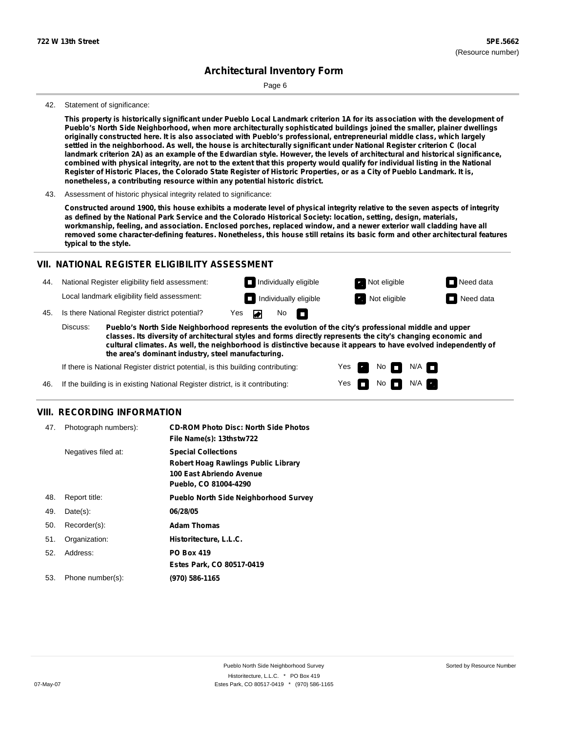Page 6

#### 42. Statement of significance:

This property is historically significant under Pueblo Local Landmark criterion 1A for its association with the development of **Pueblo's North Side Neighborhood, when more architecturally sophisticated buildings joined the smaller, plainer dwellings** originally constructed here. It is also associated with Pueblo's professional, entrepreneurial middle class, which largely settled in the neighborhood. As well, the house is architecturally significant under National Register criterion C (local landmark criterion 2A) as an example of the Edwardian style. However, the levels of architectural and historical significance, combined with physical integrity, are not to the extent that this property would qualify for individual listing in the National Register of Historic Places, the Colorado State Register of Historic Properties, or as a City of Pueblo Landmark. It is, **nonetheless, a contributing resource within any potential historic district.**

43. Assessment of historic physical integrity related to significance:

Constructed around 1900, this house exhibits a moderate level of physical integrity relative to the seven aspects of integrity as defined by the National Park Service and the Colorado Historical Society: location, setting, design, materials, workmanship, feeling, and association. Enclosed porches, replaced window, and a newer exterior wall cladding have all removed some character-defining features. Nonetheless, this house still retains its basic form and other architectural features **typical to the style.**

#### **VII. NATIONAL REGISTER ELIGIBILITY ASSESSMENT**

44. National Register eligibility field assessment: Local landmark eligibility field assessment:

**Individually eligible Not eligible** Not eligible **Need data** No m

**Individually eligible Not eligible** Not eligible **Need data** 

 $No$   $\neg$   $N/A$ 

 $N/A$ 

No



45. Is there National Register district potential? Yes

**Pueblo's North Side Neighborhood represents the evolution of the city's professional middle and upper classes. Its diversity of architectural styles and forms directly represents the city's changing economic and cultural climates. As well, the neighborhood is distinctive because it appears to have evolved independently of the area's dominant industry, steel manufacturing.** Discuss:

> Yes Yes

If there is National Register district potential, is this building contributing:

If the building is in existing National Register district, is it contributing: 46.

### **VIII. RECORDING INFORMATION**

| 47. | Photograph numbers): | <b>CD-ROM Photo Disc: North Side Photos</b><br>File Name(s): 13thstw722                                                       |
|-----|----------------------|-------------------------------------------------------------------------------------------------------------------------------|
|     | Negatives filed at:  | <b>Special Collections</b><br><b>Robert Hoag Rawlings Public Library</b><br>100 East Abriendo Avenue<br>Pueblo, CO 81004-4290 |
| 48. | Report title:        | <b>Pueblo North Side Neighborhood Survey</b>                                                                                  |
| 49. | $Date(s)$ :          | 06/28/05                                                                                                                      |
| 50. | Recorder(s):         | <b>Adam Thomas</b>                                                                                                            |
| 51. | Organization:        | Historitecture, L.L.C.                                                                                                        |
| 52. | Address:             | <b>PO Box 419</b>                                                                                                             |
|     |                      | Estes Park, CO 80517-0419                                                                                                     |
| 53. | Phone number(s):     | (970) 586-1165                                                                                                                |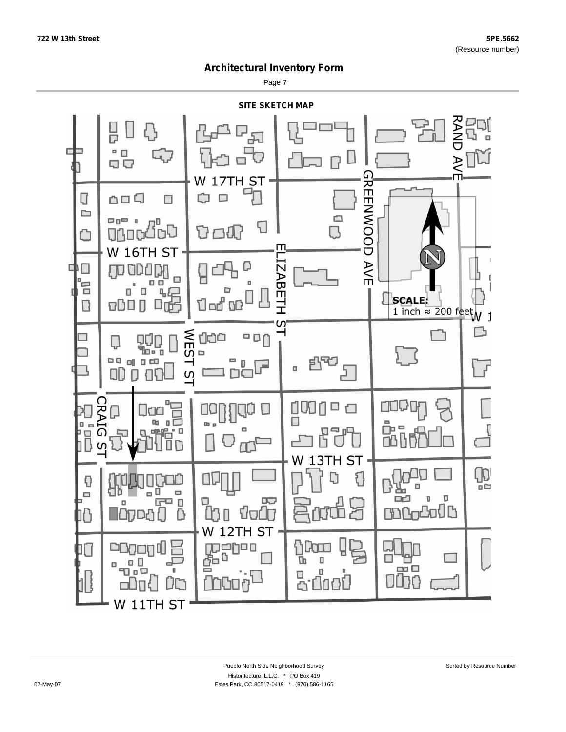Page 7